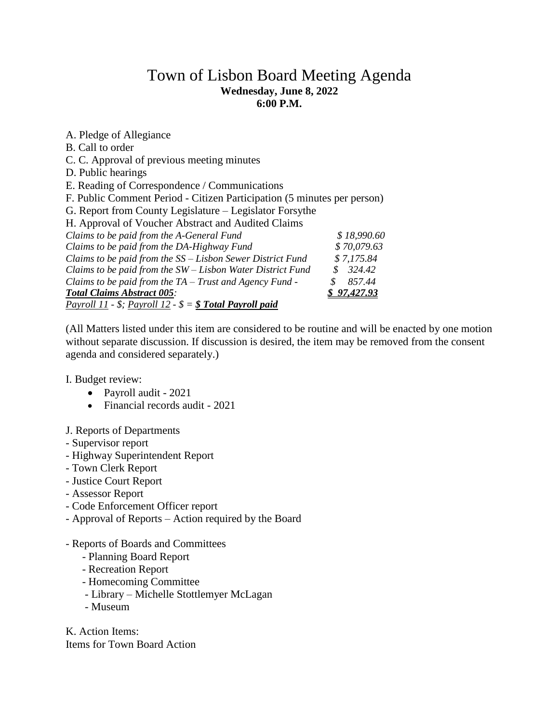## Town of Lisbon Board Meeting Agenda **Wednesday, June 8, 2022 6:00 P.M.**

A. Pledge of Allegiance B. Call to order C. C. Approval of previous meeting minutes D. Public hearings E. Reading of Correspondence / Communications F. Public Comment Period - Citizen Participation (5 minutes per person) G. Report from County Legislature – Legislator Forsythe H. Approval of Voucher Abstract and Audited Claims *Claims to be paid from the A-General Fund \$ 18,990.60 Claims to be paid from the DA-Highway Fund \$ 70,079.63 Claims to be paid from the SS – Lisbon Sewer District Fund \$ 7,175.84 Claims to be paid from the SW – Lisbon Water District Fund \$ 324.42 Claims to be paid from the TA – Trust and Agency Fund - \$ 857.44 Total Claims Abstract 005: \$ 97,427.93 Payroll 11 - \$; Payroll 12 - \$ = \$ Total Payroll paid*

(All Matters listed under this item are considered to be routine and will be enacted by one motion without separate discussion. If discussion is desired, the item may be removed from the consent agenda and considered separately.)

I. Budget review:

- Payroll audit 2021
- Financial records audit 2021
- J. Reports of Departments
- Supervisor report
- Highway Superintendent Report
- Town Clerk Report
- Justice Court Report
- Assessor Report
- Code Enforcement Officer report
- Approval of Reports Action required by the Board
- Reports of Boards and Committees
	- Planning Board Report
	- Recreation Report
	- Homecoming Committee
	- Library Michelle Stottlemyer McLagan
	- Museum

K. Action Items: Items for Town Board Action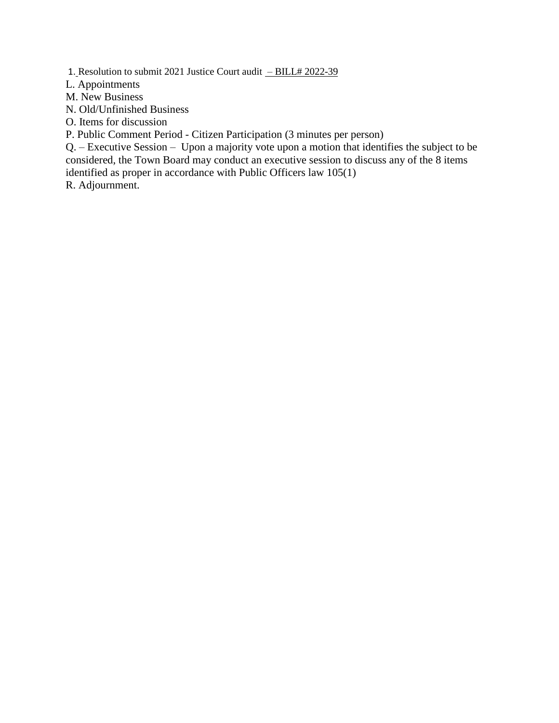1. Resolution to submit 2021 Justice Court audit - BILL# 2022-39

L. Appointments

M. New Business

N. Old/Unfinished Business

O. Items for discussion

P. Public Comment Period - Citizen Participation (3 minutes per person)

Q. – Executive Session – Upon a majority vote upon a motion that identifies the subject to be considered, the Town Board may conduct an executive session to discuss any of the 8 items identified as proper in accordance with Public Officers law 105(1)

R. Adjournment.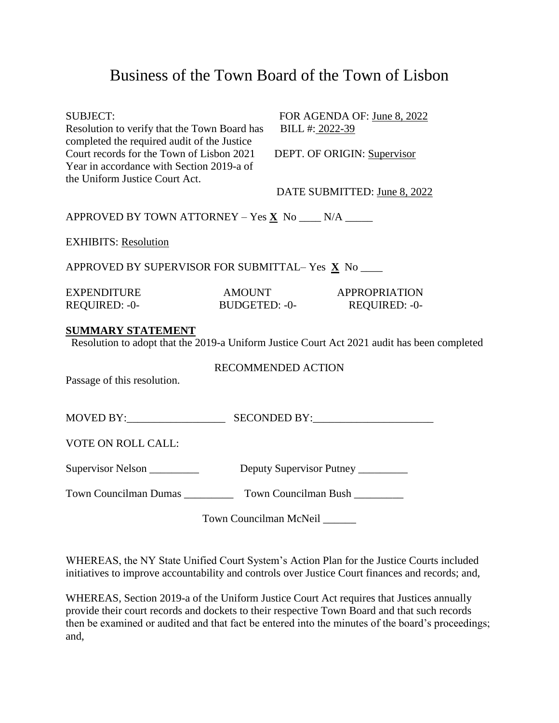## Business of the Town Board of the Town of Lisbon

| <b>SUBJECT:</b><br>Resolution to verify that the Town Board has<br>completed the required audit of the Justice           | FOR AGENDA OF: June 8, 2022<br>BILL #: 2022-39                                              |
|--------------------------------------------------------------------------------------------------------------------------|---------------------------------------------------------------------------------------------|
| Court records for the Town of Lisbon 2021<br>Year in accordance with Section 2019-a of<br>the Uniform Justice Court Act. | DEPT. OF ORIGIN: Supervisor                                                                 |
|                                                                                                                          | DATE SUBMITTED: June 8, 2022                                                                |
| APPROVED BY TOWN ATTORNEY - Yes $\underline{\mathbf{X}}$ No ____ N/A _____                                               |                                                                                             |
| <b>EXHIBITS: Resolution</b>                                                                                              |                                                                                             |
| APPROVED BY SUPERVISOR FOR SUBMITTAL-Yes X No                                                                            |                                                                                             |
| <b>EXPENDITURE</b>                                                                                                       | <b>AMOUNT</b><br>APPROPRIATION                                                              |
| REQUIRED: - 0-                                                                                                           | BUDGETED: -0-<br>REQUIRED: -0-                                                              |
| <b>SUMMARY STATEMENT</b>                                                                                                 |                                                                                             |
|                                                                                                                          | Resolution to adopt that the 2019-a Uniform Justice Court Act 2021 audit has been completed |
|                                                                                                                          | <b>RECOMMENDED ACTION</b>                                                                   |
| Passage of this resolution.                                                                                              |                                                                                             |
|                                                                                                                          |                                                                                             |
| VOTE ON ROLL CALL:                                                                                                       |                                                                                             |
| Supervisor Nelson _________                                                                                              | Deputy Supervisor Putney                                                                    |
|                                                                                                                          |                                                                                             |
|                                                                                                                          | Town Councilman McNeil                                                                      |

WHEREAS, the NY State Unified Court System's Action Plan for the Justice Courts included initiatives to improve accountability and controls over Justice Court finances and records; and,

WHEREAS, Section 2019-a of the Uniform Justice Court Act requires that Justices annually provide their court records and dockets to their respective Town Board and that such records then be examined or audited and that fact be entered into the minutes of the board's proceedings; and,